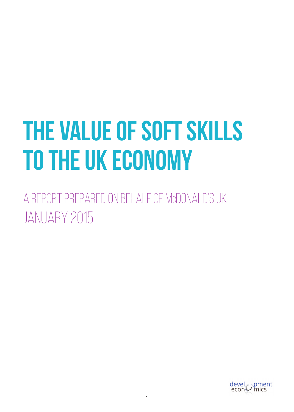# **The Value of Soft Skills to the UK Economy**

A REPORT PREPARED ON BEHALF OF McDONALD'S UK JANUARY 2015

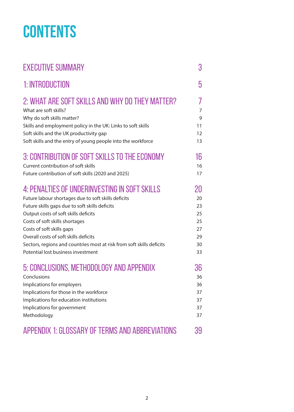## **Contents**

| <b>EXECUTIVE SUMMARY</b>                                              | 3  |
|-----------------------------------------------------------------------|----|
| 1: INTRODUCTION                                                       | 5  |
| 2: WHAT ARE SOFT SKILLS AND WHY DO THEY MATTER?                       | 7  |
| What are soft skills?                                                 | 7  |
| Why do soft skills matter?                                            | 9  |
| Skills and employment policy in the UK: Links to soft skills          | 11 |
| Soft skills and the UK productivity gap                               | 12 |
| Soft skills and the entry of young people into the workforce          | 13 |
| 3: CONTRIBUTION OF SOFT SKILLS TO THE ECONOMY                         | 16 |
| Current contribution of soft skills                                   | 16 |
| Future contribution of soft skills (2020 and 2025)                    | 17 |
| 4: PENALTIES OF UNDERINVESTING IN SOFT SKILLS                         | 20 |
| Future labour shortages due to soft skills deficits                   | 20 |
| Future skills gaps due to soft skills deficits                        | 23 |
| Output costs of soft skills deficits                                  | 25 |
| Costs of soft skills shortages                                        | 25 |
| Costs of soft skills gaps                                             | 27 |
| Overall costs of soft skills deficits                                 | 29 |
| Sectors, regions and countries most at risk from soft skills deficits | 30 |
| Potential lost business investment                                    | 33 |
| 5: CONCLUSIONS, METHODOLOGY AND APPENDIX                              | 36 |
| Conclusions                                                           | 36 |
| Implications for employers                                            | 36 |
| Implications for those in the workforce                               | 37 |
| Implications for education institutions                               | 37 |
| Implications for government                                           | 37 |
| Methodology                                                           | 37 |
| APPENDIX 1: GLOSSARY OF TERMS AND ABBREVIATIONS                       | 39 |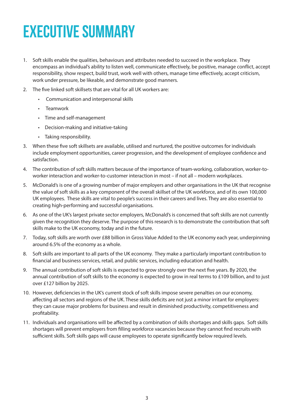## **Executive Summary**

- 1. Soft skills enable the qualities, behaviours and attributes needed to succeed in the workplace. They encompass an individual's ability to listen well, communicate effectively, be positive, manage conflict, accept responsibility, show respect, build trust, work well with others, manage time effectively, accept criticism, work under pressure, be likeable, and demonstrate good manners.
- 2. The five linked soft skillsets that are vital for all UK workers are:
	- Communication and interpersonal skills
	- Teamwork
	- Time and self-management
	- Decision-making and initiative-taking
	- Taking responsibility.
- 3. When these five soft skillsets are available, utilised and nurtured, the positive outcomes for individuals include employment opportunities, career progression, and the development of employee confidence and satisfaction.
- 4. The contribution of soft skills matters because of the importance of team-working, collaboration, worker-toworker interaction and worker-to-customer interaction in most – if not all – modern workplaces.
- 5. McDonald's is one of a growing number of major employers and other organisations in the UK that recognise the value of soft skills as a key component of the overall skillset of the UK workforce, and of its own 100,000 UK employees. These skills are vital to people's success in their careers and lives. They are also essential to creating high-performing and successful organisations.
- 6. As one of the UK's largest private sector employers, McDonald's is concerned that soft skills are not currently given the recognition they deserve. The purpose of this research is to demonstrate the contribution that soft skills make to the UK economy, today and in the future.
- 7. Today, soft skills are worth over £88 billion in Gross Value Added to the UK economy each year, underpinning around 6.5% of the economy as a whole.
- 8. Soft skills are important to all parts of the UK economy. They make a particularly important contribution to financial and business services, retail, and public services, including education and health.
- 9. The annual contribution of soft skills is expected to grow strongly over the next five years. By 2020, the annual contribution of soft skills to the economy is expected to grow in real terms to £109 billion, and to just over £127 billion by 2025.
- 10. However, deficiencies in the UK's current stock of soft skills impose severe penalties on our economy, affecting all sectors and regions of the UK. These skills deficits are not just a minor irritant for employers: they can cause major problems for business and result in diminished productivity, competitiveness and profitability.
- 11. Individuals and organisations will be affected by a combination of skills shortages and skills gaps. Soft skills shortages will prevent employers from filling workforce vacancies because they cannot find recruits with sufficient skills. Soft skills gaps will cause employees to operate significantly below required levels.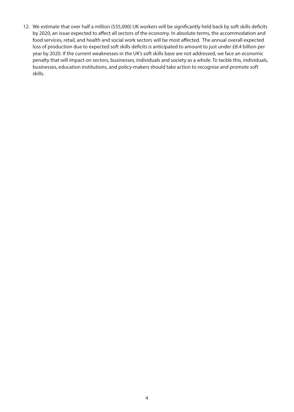12. We estimate that over half a million (535,000) UK workers will be significantly held back by soft skills deficits by 2020, an issue expected to affect all sectors of the economy. In absolute terms, the accommodation and food services, retail, and health and social work sectors will be most affected. The annual overall expected loss of production due to expected soft skills deficits is anticipated to amount to just under £8.4 billion per year by 2020. If the current weaknesses in the UK's soft skills base are not addressed, we face an economic penalty that will impact on sectors, businesses, individuals and society as a whole. To tackle this, individuals, businesses, education institutions, and policy-makers should take action to recognise and promote soft skills.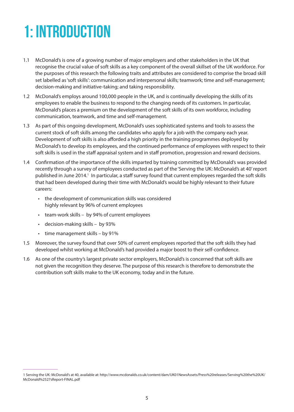## **1: Introduction**

- 1.1 McDonald's is one of a growing number of major employers and other stakeholders in the UK that recognise the crucial value of soft skills as a key component of the overall skillset of the UK workforce. For the purposes of this research the following traits and attributes are considered to comprise the broad skill set labelled as 'soft skills': communication and interpersonal skills; teamwork; time and self-management; decision-making and initiative-taking; and taking responsibility.
- 1.2 McDonald's employs around 100,000 people in the UK, and is continually developing the skills of its employees to enable the business to respond to the changing needs of its customers. In particular, McDonald's places a premium on the development of the soft skills of its own workforce, including communication, teamwork, and time and self-management.
- 1.3 As part of this ongoing development, McDonald's uses sophisticated systems and tools to assess the current stock of soft skills among the candidates who apply for a job with the company each year. Development of soft skills is also afforded a high priority in the training programmes deployed by McDonald's to develop its employees, and the continued performance of employees with respect to their soft skills is used in the staff appraisal system and in staff promotion, progression and reward decisions.
- 1.4 Confirmation of the importance of the skills imparted by training committed by McDonald's was provided recently through a survey of employees conducted as part of the 'Serving the UK: McDonald's at 40' report published in June 2014.<sup>1</sup> In particular, a staff survey found that current employees regarded the soft skills that had been developed during their time with McDonald's would be highly relevant to their future careers:
	- the development of communication skills was considered highly relevant by 96% of current employees
	- team-work skills by 94% of current employees
	- decision-making skills by 93%
	- time management skills by 91%
- 1.5 Moreover, the survey found that over 50% of current employees reported that the soft skills they had developed whilst working at McDonald's had provided a major boost to their self-confidence.
- 1.6 As one of the country's largest private sector employers, McDonald's is concerned that soft skills are not given the recognition they deserve. The purpose of this research is therefore to demonstrate the contribution soft skills make to the UK economy, today and in the future.

<sup>1</sup> Serving the UK: McDonald's at 40, available at: http://www.mcdonalds.co.uk/content/dam/UK01NewsAssets/Press%20releases/Serving%20the%20UK/ McDonald%2527sReport-FINAL.pdf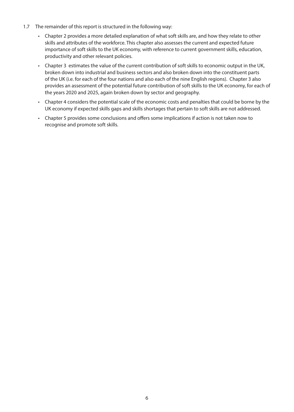- 1.7 The remainder of this report is structured in the following way:
	- Chapter 2 provides a more detailed explanation of what soft skills are, and how they relate to other skills and attributes of the workforce. This chapter also assesses the current and expected future importance of soft skills to the UK economy, with reference to current government skills, education, productivity and other relevant policies.
	- Chapter 3 estimates the value of the current contribution of soft skills to economic output in the UK, broken down into industrial and business sectors and also broken down into the constituent parts of the UK (i.e. for each of the four nations and also each of the nine English regions). Chapter 3 also provides an assessment of the potential future contribution of soft skills to the UK economy, for each of the years 2020 and 2025, again broken down by sector and geography.
	- Chapter 4 considers the potential scale of the economic costs and penalties that could be borne by the UK economy if expected skills gaps and skills shortages that pertain to soft skills are not addressed.
	- Chapter 5 provides some conclusions and offers some implications if action is not taken now to recognise and promote soft skills.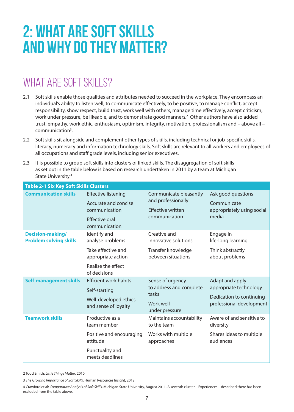## **2: What are soft skills and why do they matter?**

### WHAT ARE SOFT SKILLS?

- 2.1 Soft skills enable those qualities and attributes needed to succeed in the workplace. They encompass an individual's ability to listen well, to communicate effectively, to be positive, to manage conflict, accept responsibility, show respect, build trust, work well with others, manage time effectively, accept criticism, work under pressure, be likeable, and to demonstrate good manners.<sup>2</sup> Other authors have also added trust, empathy, work ethic, enthusiasm, optimism, integrity, motivation, professionalism and – above all – communication<sup>3</sup>.
- 2.2 Soft skills sit alongside and complement other types of skills, including technical or job-specific skills, literacy, numeracy and information technology skills. Soft skills are relevant to all workers and employees of all occupations and staff grade levels, including senior executives.
- 2.3 It is possible to group soft skills into clusters of linked skills. The disaggregation of soft skills as set out in the table below is based on research undertaken in 2011 by a team at Michigan State University.4

| <b>Table 2-1 Six Key Soft Skills Clusters</b> |                                |                                         |                                        |
|-----------------------------------------------|--------------------------------|-----------------------------------------|----------------------------------------|
| <b>Communication skills</b>                   | <b>Effective listening</b>     | Communicate pleasantly                  | Ask good questions                     |
|                                               | Accurate and concise           | and professionally                      | Communicate                            |
|                                               | communication                  | <b>Effective written</b>                | appropriately using social             |
|                                               | <b>Effective oral</b>          | communication                           | media                                  |
|                                               | communication                  |                                         |                                        |
| <b>Decision-making/</b>                       | Identify and                   | Creative and                            | Engage in                              |
| <b>Problem solving skills</b>                 | analyse problems               | innovative solutions                    | life-long learning                     |
|                                               | Take effective and             | Transfer knowledge                      | Think abstractly                       |
|                                               | appropriate action             | between situations                      | about problems                         |
|                                               | Realise the effect             |                                         |                                        |
|                                               | of decisions                   |                                         |                                        |
| <b>Self-management skills</b>                 | <b>Efficient work habits</b>   | Sense of urgency                        | Adapt and apply                        |
| Self-starting                                 |                                | to address and complete<br>tasks        | appropriate technology                 |
|                                               | Well-developed ethics          |                                         | Dedication to continuing               |
|                                               | and sense of loyalty           | Work well                               | professional development               |
|                                               |                                | under pressure                          |                                        |
| <b>Teamwork skills</b>                        | Productive as a<br>team member | Maintains accountability<br>to the team | Aware of and sensitive to<br>diversity |
|                                               | Positive and encouraging       | Works with multiple                     | Shares ideas to multiple               |
|                                               | attitude                       | approaches                              | audiences                              |
|                                               | Punctuality and                |                                         |                                        |
|                                               | meets deadlines                |                                         |                                        |

2 Todd Smith: *Little Things Matter*, 2010

<sup>3</sup> *The Growing Importance of Soft Skills*, Human Resources Insight, 2012

<sup>4</sup> Crawford et al: *Comparative Analysis of Soft Skills*, Michigan State University, August 2011. A seventh cluster – Experiences – described there has been excluded from the table above.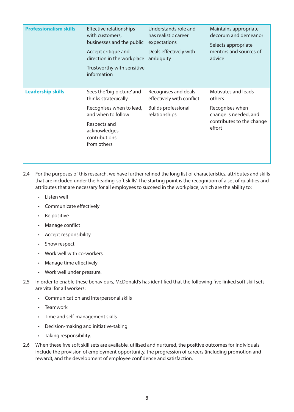| <b>Professionalism skills</b> | <b>Effective relationships</b><br>with customers,<br>businesses and the public<br>Accept critique and<br>direction in the workplace<br>Trustworthy with sensitive<br>information | Understands role and<br>has realistic career<br>expectations<br>Deals effectively with<br>ambiguity | Maintains appropriate<br>decorum and demeanor<br>Selects appropriate<br>mentors and sources of<br>advice |
|-------------------------------|----------------------------------------------------------------------------------------------------------------------------------------------------------------------------------|-----------------------------------------------------------------------------------------------------|----------------------------------------------------------------------------------------------------------|
| <b>Leadership skills</b>      | Sees the 'big picture' and<br>thinks strategically                                                                                                                               | Recognises and deals<br>effectively with conflict                                                   | Motivates and leads<br>others                                                                            |
|                               | Recognises when to lead,<br><b>Builds professional</b><br>and when to follow<br>relationships                                                                                    |                                                                                                     | Recognises when<br>change is needed, and                                                                 |
|                               | Respects and<br>acknowledges<br>contributions<br>from others                                                                                                                     |                                                                                                     | contributes to the change<br>effort                                                                      |
|                               |                                                                                                                                                                                  |                                                                                                     |                                                                                                          |

- 2.4 For the purposes of this research, we have further refined the long list of characteristics, attributes and skills that are included under the heading 'soft skills'. The starting point is the recognition of a set of qualities and attributes that are necessary for all employees to succeed in the workplace, which are the ability to:
	- Listen well
	- Communicate effectively
	- Be positive
	- Manage conflict
	- Accept responsibility
	- Show respect
	- Work well with co-workers
	- Manage time effectively
	- Work well under pressure.
- 2.5 In order to enable these behaviours, McDonald's has identified that the following five linked soft skill sets are vital for all workers:
	- Communication and interpersonal skills
	- Teamwork
	- Time and self-management skills
	- Decision-making and initiative-taking
	- Taking responsibility.
- 2.6 When these five soft skill sets are available, utilised and nurtured, the positive outcomes for individuals include the provision of employment opportunity, the progression of careers (including promotion and reward), and the development of employee confidence and satisfaction.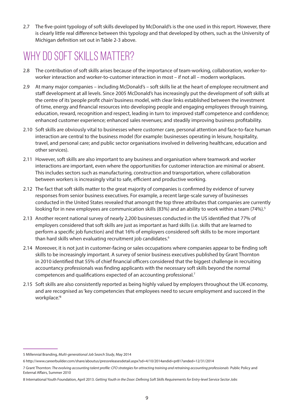2.7 The five-point typology of soft skills developed by McDonald's is the one used in this report. However, there is clearly little real difference between this typology and that developed by others, such as the University of Michigan definition set out in Table 2-3 above.

### WHY DO SOFT SKILLS MATTER?

- 2.8 The contribution of soft skills arises because of the importance of team-working, collaboration, worker-toworker interaction and worker-to-customer interaction in most – if not all – modern workplaces.
- 2.9 At many major companies including McDonald's soft skills lie at the heart of employee recruitment and staff development at all levels. Since 2005 McDonald's has increasingly put the development of soft skills at the centre of its 'people profit chain' business model, with clear links established between the investment of time, energy and financial resources into developing people and engaging employees through training, education, reward, recognition and respect, leading in turn to: improved staff competence and confidence; enhanced customer experience; enhanced sales revenues; and steadily improving business profitability.
- 2.10 Soft skills are obviously vital to businesses where customer care, personal attention and face-to-face human interaction are central to the business model (for example: businesses operating in leisure, hospitality, travel, and personal care; and public sector organisations involved in delivering healthcare, education and other services).
- 2.11 However, soft skills are also important to any business and organisation where teamwork and worker interactions are important, even where the opportunities for customer interaction are minimal or absent. This includes sectors such as manufacturing, construction and transportation, where collaboration between workers is increasingly vital to safe, efficient and productive working.
- 2.12 The fact that soft skills matter to the great majority of companies is confirmed by evidence of survey responses from senior business executives. For example, a recent large-scale survey of businesses conducted in the United States revealed that amongst the top three attributes that companies are currently looking for in new employees are communication skills (83%) and an ability to work within a team (74%).<sup>5</sup>
- 2.13 Another recent national survey of nearly 2,200 businesses conducted in the US identified that 77% of employers considered that soft skills are just as important as hard skills (i.e. skills that are learned to perform a specific job function) and that 16% of employers considered soft skills to be more important than hard skills when evaluating recruitment job candidates.<sup>6</sup>
- 2.14 Moreover, it is not just in customer-facing or sales occupations where companies appear to be finding soft skills to be increasingly important. A survey of senior business executives published by Grant Thornton in 2010 identified that 55% of chief financial officers considered that the biggest challenge in recruiting accountancy professionals was finding applicants with the necessary soft skills beyond the normal competences and qualifications expected of an accounting professional.7
- 2.15 Soft skills are also consistently reported as being highly valued by employers throughout the UK economy, and are recognised as 'key competencies that employees need to secure employment and succeed in the workplace.<sup>'8</sup>

<sup>5</sup> Millennial Branding, *Multi-generational Job Search Study*, May 2014

<sup>6</sup> http://www.careerbuilder.com/share/aboutus/pressreleasesdetail.aspx?sd=4/10/2014andid=pr817anded=12/31/2014

<sup>7</sup> Grant Thornton: *The evolving accounting talent profile: CFO strategies for attracting training and retraining accounting professionals* Public Policy and External Affairs, Summer 2010

<sup>8</sup> International Youth Foundation, April 2013. *Getting Youth in the Door: Defining Soft Skills Requirements for Entry-level Service Sector Jobs*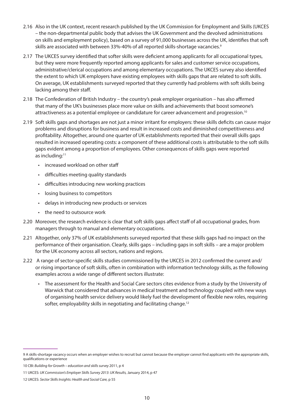- 2.16 Also in the UK context, recent research published by the UK Commission for Employment and Skills (UKCES – the non-departmental public body that advises the UK Government and the devolved administrations on skills and employment policy), based on a survey of 91,000 businesses across the UK, identifies that soft skills are associated with between 33%-40% of all reported skills-shortage vacancies.<sup>9</sup>
- 2.17 The UKCES survey identified that softer skills were deficient among applicants for all occupational types, but they were more frequently reported among applicants for sales and customer service occupations, administrative/clerical occupations and among elementary occupations. The UKCES survey also identified the extent to which UK employers have existing employees with skills gaps that are related to soft skills. On average, UK establishments surveyed reported that they currently had problems with soft skills being lacking among their staff.
- 2.18 The Confederation of British Industry the country's peak employer organisation has also affirmed that many of the UK's businesses place more value on skills and achievements that boost someone's attractiveness as a potential employee or candidature for career advancement and progression.10
- 2.19 Soft skills gaps and shortages are not just a minor irritant for employers: these skills deficits can cause major problems and disruptions for business and result in increased costs and diminished competitiveness and profitability. Altogether, around one quarter of UK establishments reported that their overall skills gaps resulted in increased operating costs: a component of these additional costs is attributable to the soft skills gaps evident among a proportion of employees. Other consequences of skills gaps were reported as including:<sup>11</sup>
	- increased workload on other staff
	- difficulties meeting quality standards
	- difficulties introducing new working practices
	- losing business to competitors
	- delays in introducing new products or services
	- the need to outsource work
- 2.20 Moreover, the research evidence is clear that soft skills gaps affect staff of all occupational grades, from managers through to manual and elementary occupations.
- 2.21 Altogether, only 37% of UK establishments surveyed reported that these skills gaps had no impact on the performance of their organisation. Clearly, skills gaps – including gaps in soft skills – are a major problem for the UK economy across all sectors, nations and regions.
- 2.22 A range of sector-specific skills studies commissioned by the UKCES in 2012 confirmed the current and/ or rising importance of soft skills, often in combination with information technology skills, as the following examples across a wide range of different sectors illustrate:
	- The assessment for the Health and Social Care sectors cites evidence from a study by the University of Warwick that considered that advances in medical treatment and technology coupled with new ways of organising health service delivery would likely fuel the development of flexible new roles, requiring softer, employability skills in negotiating and facilitating change.<sup>12</sup>

<sup>9</sup> A skills-shortage vacancy occurs when an employer wishes to recruit but cannot because the employer cannot find applicants with the appropriate skills, qualifications or experience

<sup>10</sup> CBI: *Building for Growth – education and skills survey* 2011, p 4

<sup>11</sup> UKCES: *UK Commission's Employer Skills Survey 2013*: *UK Results,* January 2014, p 47

<sup>12</sup> UKCES: *Sector Skills Insights: Health and Social Care,* p 55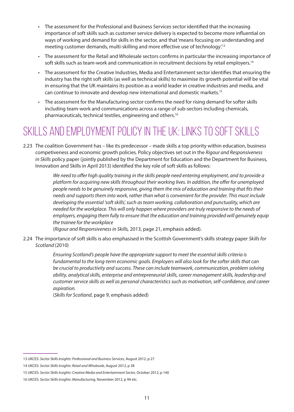- The assessment for the Professional and Business Services sector identified that the increasing importance of soft skills such as customer service delivery is expected to become more influential on ways of working and demand for skills in the sector, and that 'means focusing on understanding and meeting customer demands, multi-skilling and more effective use of technology'.13
- The assessment for the Retail and Wholesale sectors confirms in particular the increasing importance of soft skills such as team-work and communication in recruitment decisions by retail employers.<sup>14</sup>
- The assessment for the Creative Industries, Media and Entertainment sector identifies that ensuring the industry has the right soft skills (as well as technical skills) to maximise its growth potential will be vital in ensuring that the UK maintains its position as a world leader in creative industries and media, and can continue to innovate and develop new international and domestic markets.15
- The assessment for the Manufacturing sector confirms the need for rising demand for softer skills including team-work and communications across a range of sub-sectors including chemicals, pharmaceuticals, technical textiles, engineering and others.16

### SKILLS AND EMPLOYMENT POLICY IN THE UK: LINKS TO SOFT SKILLS

2.23 The coalition Government has – like its predecessor – made skills a top priority within education, business competiveness and economic growth policies. Policy objectives set out in the *Rigour and Responsiveness in Skills* policy paper (jointly published by the Department for Education and the Department for Business, Innovation and Skills in April 2013) identified the key role of soft skills as follows:

> *We need to offer high quality training in the skills people need entering employment, and to provide a platform for acquiring new skills throughout their working lives. In addition, the offer for unemployed people needs to be genuinely responsive, giving them the mix of education and training that fits their needs and supports them into work, rather than what is convenient for the provider. This must include developing the essential 'soft skills', such as team working, collaboration and punctuality, which are needed for the workplace. This will only happen where providers are truly responsive to the needs of employers, engaging them fully to ensure that the education and training provided will genuinely equip the trainee for the workplace*

(*Rigour and Responsiveness in Skills,* 2013, page 21, emphasis added).

2.24 The importance of soft skills is also emphasised in the Scottish Government's skills strategy paper *Skills for Scotland* (2010)

> *Ensuring Scotland's people have the appropriate support to meet the essential skills criteria is fundamental to the long-term economic goals. Employers will also look for the softer skills that can be crucial to productivity and success. These can include teamwork, communication, problem solving ability, analytical skills, enterprise and entrepreneurial skills, career management skills, leadership and customer service skills as well as personal characteristics such as motivation, self-confidence, and career aspiration.*

(*Skills for Scotland*, page 9, emphasis added)

<sup>13</sup> UKCES: *Sector Skills Insights: Professional and Business Services*, August 2012, p 27

<sup>14</sup> UKCES: *Sector Skills Insights: Retail and Wholesale*, August 2012, p 38

<sup>15</sup> UKCES: *Sector Skills Insights: Creative Media and Entertainment Sector,* October 2012, p 140

<sup>16</sup> UKCES: *Sector Skills Insights: Manufacturing,* November 2012, p 94 etc.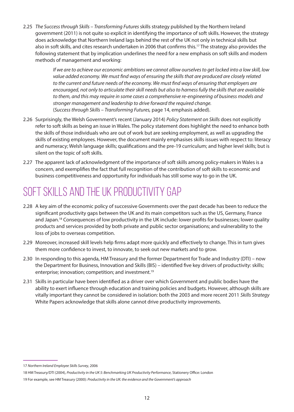2.25 *The Success through Skills – Transforming Futures* skills strategy published by the Northern Ireland government (2011) is not quite so explicit in identifying the importance of soft skills. However, the strategy does acknowledge that Northern Ireland lags behind the rest of the UK not only in technical skills but also in soft skills, and cites research undertaken in 2006 that confirms this.<sup>17</sup> The strategy also provides the following statement that by implication underlines the need for a new emphasis on soft skills and modern methods of management and working:

> *If we are to achieve our economic ambitions we cannot allow ourselves to get locked into a low skill, low value added economy. We must find ways of ensuring the skills that are produced are closely related to the current and future needs of the economy. We must find ways of ensuring that employers are encouraged, not only to articulate their skill needs but also to harness fully the skills that are available to them, and this may require in some cases a comprehensive re-engineering of business models and stronger management and leadership to drive forward the required change.* (*Success through Skills – Transforming Futures,* page 14, emphasis added).

- 2.26 Surprisingly, the Welsh Government's recent (January 2014) *Policy Statement on Skills* does not explicitly refer to soft skills as being an issue in Wales. The policy statement does highlight the need to enhance both the skills of those individuals who are out of work but are seeking employment, as well as upgrading the skills of existing employees. However, the document mainly emphasises skills issues with respect to: literacy and numeracy; Welsh language skills; qualifications and the pre-19 curriculum; and higher level skills; but is silent on the topic of soft skills.
- 2.27 The apparent lack of acknowledgment of the importance of soft skills among policy-makers in Wales is a concern, and exemplifies the fact that full recognition of the contribution of soft skills to economic and business competitiveness and opportunity for individuals has still some way to go in the UK.

### Soft skills and the UK productivity gap

- 2.28 A key aim of the economic policy of successive Governments over the past decade has been to reduce the significant productivity gaps between the UK and its main competitors such as the US, Germany, France and Japan.18 Consequences of low productivity in the UK include: lower profits for businesses; lower quality products and services provided by both private and public sector organisations; and vulnerability to the loss of jobs to overseas competition.
- 2.29 Moreover, increased skill levels help firms adapt more quickly and effectively to change. This in turn gives them more confidence to invest, to innovate, to seek out new markets and to grow.
- 2.30 In responding to this agenda, HM Treasury and the former Department for Trade and Industry (DTI) now the Department for Business, Innovation and Skills (BIS) – identified five key drivers of productivity: skills; enterprise; innovation; competition; and investment.<sup>19</sup>
- 2.31 Skills in particular have been identified as a driver over which Government and public bodies have the ability to exert influence through education and training policies and budgets. However, although skills are vitally important they cannot be considered in isolation: both the 2003 and more recent 2011 *Skills Strategy*  White Papers acknowledge that skills alone cannot drive productivity improvements.

<sup>17</sup> *Northern Ireland Employee Skills Survey*, 2006

<sup>18</sup> HM Treasury/DTI (2004), *Productivity in the UK 5: Benchmarking UK Productivity Performance*, Stationery Office: London

<sup>19</sup> For example, see HM Treasury (2000): *Productivity in the UK: the evidence and the Government's approach*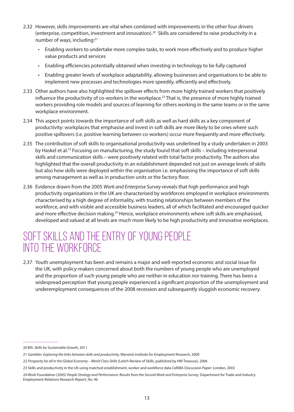- 2.32 However, skills improvements are vital when combined with improvements in the other four drivers (enterprise, competition, investment and innovation).20 Skills are considered to raise productivity in a number of ways, including:21
	- Enabling workers to undertake more complex tasks, to work more effectively and to produce higher value products and services
	- Enabling efficiencies potentially obtained when investing in technology to be fully captured
	- Enabling greater levels of workplace adaptability, allowing businesses and organisations to be able to implement new processes and technologies more speedily, efficiently and effectively.
- 2.33 Other authors have also highlighted the spillover effects from more highly trained workers that positively influence the productivity of co-workers in the workplace.<sup>22</sup> That is, the presence of more highly trained workers providing role models and sources of learning for others working in the same teams or in the same workplace environment.
- 2.34 This aspect points towards the importance of soft skills as well as hard skills as a key component of productivity: workplaces that emphasise and invest in soft skills are more likely to be ones where such positive spillovers (i.e. positive learning between co-workers) occur more frequently and more effectively.
- 2.35 The contribution of soft skills to organisational productivity was underlined by a study undertaken in 2003 by Haskel et al.23 Focusing on manufacturing, the study found that soft skills – including interpersonal skills and communication skills – were positively related with total factor productivity. The authors also highlighted that the overall productivity in an establishment depended not just on average levels of skills but also how skills were deployed within the organisation i.e. emphasising the importance of soft skills among management as well as in production units or the factory floor.
- 2.36 Evidence drawn from the 2005 *Work and Enterprise Survey* reveals that high performance and high productivity organisations in the UK are characterised by workforces employed in workplace environments characterised by a high degree of informality, with trusting relationships between members of the workforce, and with visible and accessible business leaders, all of which facilitated and encouraged quicker and more effective decision making.<sup>24</sup> Hence, workplace environments where soft skills are emphasised, developed and valued at all levels are much more likely to be high productivity and innovative workplaces.

### Soft skills and the entry of young people into the workforce

2.37 Youth unemployment has been and remains a major and well-reported economic and social issue for the UK, with policy-makers concerned about both the numbers of young people who are unemployed and the proportion of such young people who are neither in education nor training. There has been a widespread perception that young people experienced a significant proportion of the unemployment and underemployment consequences of the 2008 recession and subsequently sluggish economic recovery.

<sup>20</sup> BIS: *Skills for Sustainable Growth*, 2011

<sup>21</sup> Gamblin: *Exploring the links between skills and productivity,* Warwick Institute for Employment Research, 2009

<sup>22</sup> Prosperity for all in the Global Economy - World Class Skills (Leitch Review of Skills, published by HM Treasury), 2006

<sup>23</sup> Skills and productivity in the UK using matched establishment, worker and workforce data CeRiBA Discussion Paper: London, 2003

<sup>24</sup> Work Foundation (2005) *People Strategy and Performance: Results from the Second Work and Enterprise Survey*, Department for Trade and Industry Employment Relations Research Report, No. 46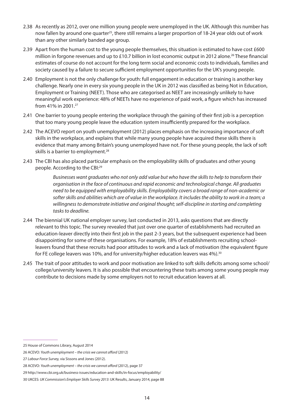- 2.38 As recently as 2012, over one million young people were unemployed in the UK. Although this number has now fallen by around one quarter<sup>25</sup>, there still remains a larger proportion of 18-24 year olds out of work than any other similarly banded age group.
- 2.39 Apart from the human cost to the young people themselves, this situation is estimated to have cost £600 million in forgone revenues and up to £10.7 billion in lost economic output in 2012 alone.<sup>26</sup> These financial estimates of course do not account for the long term social and economic costs to individuals, families and society caused by a failure to secure sufficient employment opportunities for the UK's young people.
- 2.40 Employment is not the only challenge for youth: full engagement in education or training is another key challenge. Nearly one in every six young people in the UK in 2012 was classified as being Not in Education, Employment or Training (NEET). Those who are categorised as NEET are increasingly unlikely to have meaningful work experience: 48% of NEETs have no experience of paid work, a figure which has increased from 41% in 2001.27
- 2.41 One barrier to young people entering the workplace through the gaining of their first job is a perception that too many young people leave the education system insufficiently prepared for the workplace.
- 2.42 The ACEVO report on youth unemployment (2012) places emphasis on the increasing importance of soft skills in the workplace, and explains that while many young people have acquired these skills there is evidence that many among Britain's young unemployed have not. For these young people, the lack of soft skills is a barrier to employment.<sup>28</sup>
- 2.43 The CBI has also placed particular emphasis on the employability skills of graduates and other young people. According to the CBI:29

*Businesses want graduates who not only add value but who have the skills to help to transform their organisation in the face of continuous and rapid economic and technological change. All graduates need to be equipped with employability skills. Employability covers a broad range of non-academic or*  softer skills and abilities which are of value in the workplace. It includes the ability to work in a team; a *willingness to demonstrate initiative and original thought; self-discipline in starting and completing tasks to deadline.*

- 2.44 The biennial UK national employer survey, last conducted in 2013, asks questions that are directly relevant to this topic. The survey revealed that just over one quarter of establishments had recruited an education-leaver directly into their first job in the past 2-3 years, but the subsequent experience had been disappointing for some of these organisations. For example, 18% of establishments recruiting schoolleavers found that these recruits had poor attitudes to work and a lack of motivation (the equivalent figure for FE college leavers was 10%, and for university/higher education leavers was  $4\%$ .<sup>30</sup>
- 2.45 The trait of poor attitudes to work and poor motivation are linked to soft skills deficits among some school/ college/university leavers. It is also possible that encountering these traits among some young people may contribute to decisions made by some employers not to recruit education leavers at all.

<sup>25</sup> House of Commons Library, August 2014

<sup>26</sup> ACEVO: *Youth unemployment – the crisis we cannot afford* (2012)

<sup>27</sup> *Labour Force Survey,* via Sissons and Jones (2012).

<sup>28</sup> ACEVO: *Youth unemployment – the crisis we cannot afford* (2012), page 37

<sup>29</sup> http://www.cbi.org.uk/business-issues/education-and-skills/in-focus/employability/

<sup>30</sup> UKCES: *UK Commission's Employer Skills Survey 2013*: UK Results, January 2014, page 88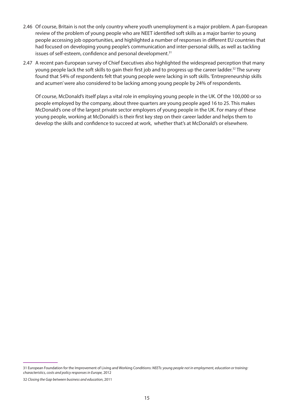- 2.46 Of course, Britain is not the only country where youth unemployment is a major problem. A pan-European review of the problem of young people who are NEET identified soft skills as a major barrier to young people accessing job opportunities, and highlighted a number of responses in different EU countries that had focused on developing young people's communication and inter-personal skills, as well as tackling issues of self-esteem, confidence and personal development.<sup>31</sup>
- 2.47 A recent pan-European survey of Chief Executives also highlighted the widespread perception that many young people lack the soft skills to gain their first job and to progress up the career ladder.<sup>32</sup> The survey found that 54% of respondents felt that young people were lacking in soft skills. 'Entrepreneurship skills and acumen' were also considered to be lacking among young people by 24% of respondents.

Of course, McDonald's itself plays a vital role in employing young people in the UK. Of the 100,000 or so people employed by the company, about three quarters are young people aged 16 to 25. This makes McDonald's one of the largest private sector employers of young people in the UK. For many of these young people, working at McDonald's is their first key step on their career ladder and helps them to develop the skills and confidence to succeed at work, whether that's at McDonald's or elsewhere.

<sup>31</sup> European Foundation for the Improvement of Living and Working Conditions: *NEETs: young people not in employment, education or training: characteristics, costs and policy responses in Europe,* 2012

<sup>32</sup> *Closing the Gap between business and education*, 2011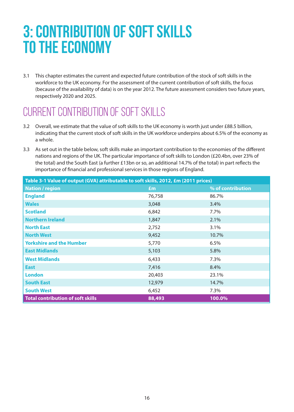## **3: Contribution of soft skills to the economy**

3.1 This chapter estimates the current and expected future contribution of the stock of soft skills in the workforce to the UK economy. For the assessment of the current contribution of soft skills, the focus (because of the availability of data) is on the year 2012. The future assessment considers two future years, respectively 2020 and 2025.

### CURRENT CONTRIBUTION OF SOFT SKILLS

- 3.2 Overall, we estimate that the value of soft skills to the UK economy is worth just under £88.5 billion, indicating that the current stock of soft skills in the UK workforce underpins about 6.5% of the economy as a whole.
- 3.3 As set out in the table below, soft skills make an important contribution to the economies of the different nations and regions of the UK. The particular importance of soft skills to London (£20.4bn, over 23% of the total) and the South East (a further £13bn or so, an additional 14.7% of the total) in part reflects the importance of financial and professional services in those regions of England.

| Table 3-1 Value of output (GVA) attributable to soft skills, 2012, £m (2011 prices) |        |                   |  |
|-------------------------------------------------------------------------------------|--------|-------------------|--|
| <b>Nation / region</b>                                                              | £m     | % of contribution |  |
| <b>England</b>                                                                      | 76,758 | 86.7%             |  |
| <b>Wales</b>                                                                        | 3,048  | 3.4%              |  |
| <b>Scotland</b>                                                                     | 6,842  | 7.7%              |  |
| <b>Northern Ireland</b>                                                             | 1,847  | 2.1%              |  |
| <b>North East</b>                                                                   | 2,752  | 3.1%              |  |
| <b>North West</b>                                                                   | 9,452  | 10.7%             |  |
| <b>Yorkshire and the Humber</b>                                                     | 5,770  | 6.5%              |  |
| <b>East Midlands</b>                                                                | 5,103  | 5.8%              |  |
| <b>West Midlands</b>                                                                | 6,433  | 7.3%              |  |
| <b>East</b>                                                                         | 7,416  | 8.4%              |  |
| <b>London</b>                                                                       | 20,403 | 23.1%             |  |
| <b>South East</b>                                                                   | 12,979 | 14.7%             |  |
| <b>South West</b>                                                                   | 6,452  | 7.3%              |  |
| <b>Total contribution of soft skills</b>                                            | 88,493 | 100.0%            |  |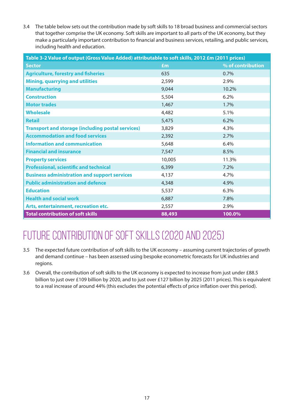3.4 The table below sets out the contribution made by soft skills to 18 broad business and commercial sectors that together comprise the UK economy. Soft skills are important to all parts of the UK economy, but they make a particularly important contribution to financial and business services, retailing, and public services, including health and education.

| Table 3-2 Value of output (Gross Value Added) attributable to soft skills, 2012 £m (2011 prices) |        |                   |  |
|--------------------------------------------------------------------------------------------------|--------|-------------------|--|
| <b>Sector</b>                                                                                    | £m     | % of contribution |  |
| <b>Agriculture, forestry and fisheries</b>                                                       | 635    | 0.7%              |  |
| <b>Mining, quarrying and utilities</b>                                                           | 2,599  | 2.9%              |  |
| <b>Manufacturing</b>                                                                             | 9,044  | 10.2%             |  |
| <b>Construction</b>                                                                              | 5,504  | 6.2%              |  |
| <b>Motor trades</b>                                                                              | 1,467  | 1.7%              |  |
| <b>Wholesale</b>                                                                                 | 4,482  | 5.1%              |  |
| <b>Retail</b>                                                                                    | 5,475  | 6.2%              |  |
| <b>Transport and storage (including postal services)</b>                                         | 3,829  | 4.3%              |  |
| <b>Accommodation and food services</b>                                                           | 2,392  | 2.7%              |  |
| <b>Information and communication</b>                                                             | 5,648  | 6.4%              |  |
| <b>Financial and insurance</b>                                                                   | 7,547  | 8.5%              |  |
| <b>Property services</b>                                                                         | 10,005 | 11.3%             |  |
| <b>Professional, scientific and technical</b>                                                    | 6,399  | 7.2%              |  |
| <b>Business administration and support services</b>                                              | 4,137  | 4.7%              |  |
| <b>Public administration and defence</b>                                                         | 4,348  | 4.9%              |  |
| <b>Education</b>                                                                                 | 5,537  | 6.3%              |  |
| <b>Health and social work</b>                                                                    | 6,887  | 7.8%              |  |
| Arts, entertainment, recreation etc.                                                             | 2,557  | 2.9%              |  |
| <b>Total contribution of soft skills</b>                                                         | 88,493 | 100.0%            |  |

### FUTURE CONTRIBUTION OF SOFT SKILLS (2020 AND 2025)

- 3.5 The expected future contribution of soft skills to the UK economy assuming current trajectories of growth and demand continue – has been assessed using bespoke econometric forecasts for UK industries and regions.
- 3.6 Overall, the contribution of soft skills to the UK economy is expected to increase from just under £88.5 billion to just over £109 billion by 2020, and to just over £127 billion by 2025 (2011 prices). This is equivalent to a real increase of around 44% (this excludes the potential effects of price inflation over this period).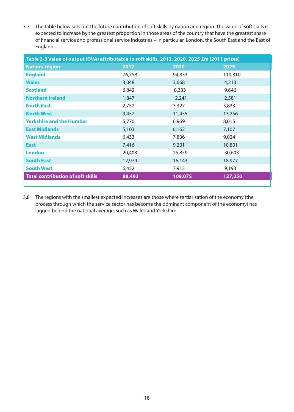3.7 The table below sets out the future contribution of soft skills by nation and region. The value of soft skills is expected to increase by the greatest proportion in those areas of the country that have the greatest share of financial service and professional service industries – in particular, London, the South East and the East of England.

| Table 3-3 Value of output (GVA) attributable to soft skills, 2012, 2020, 2025 £m (2011 prices) |        |         |         |
|------------------------------------------------------------------------------------------------|--------|---------|---------|
| <b>Nation/region</b>                                                                           | 2012   | 2020    | 2025    |
| <b>England</b>                                                                                 | 76,758 | 94,833  | 110,810 |
| <b>Wales</b>                                                                                   | 3,048  | 3,668   | 4,213   |
| <b>Scotland</b>                                                                                | 6,842  | 8,333   | 9,646   |
| <b>Northern Ireland</b>                                                                        | 1,847  | 2,241   | 2,581   |
| <b>North East</b>                                                                              | 2,752  | 3,327   | 3,833   |
| <b>North West</b>                                                                              | 9,452  | 11,455  | 13,256  |
| <b>Yorkshire and the Humber</b>                                                                | 5,770  | 6,969   | 8,015   |
| <b>East Midlands</b>                                                                           | 5,103  | 6,162   | 7,107   |
| <b>West Midlands</b>                                                                           | 6,433  | 7,806   | 9,024   |
| <b>East</b>                                                                                    | 7,416  | 9,201   | 10,801  |
| <b>London</b>                                                                                  | 20,403 | 25,859  | 30,603  |
| <b>South East</b>                                                                              | 12,979 | 16,143  | 18,977  |
| <b>South West</b>                                                                              | 6,452  | 7,913   | 9,193   |
| <b>Total contribution of soft skills</b>                                                       | 88,493 | 109,075 | 127,250 |

3.8 The regions with the smallest expected increases are those where tertiarisation of the economy (the process through which the service sector has become the dominant component of the economy) has lagged behind the national average, such as Wales and Yorkshire.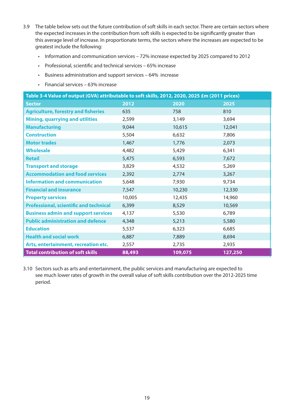- 3.9 The table below sets out the future contribution of soft skills in each sector. There are certain sectors where the expected increases in the contribution from soft skills is expected to be significantly greater than this average level of increase. In proportionate terms, the sectors where the increases are expected to be greatest include the following:
	- Information and communication services 72% increase expected by 2025 compared to 2012
	- Professional, scientific and technical services 65% increase
	- Business administration and support services 64% increase
	- Financial services 63% increase

| Table 3-4 Value of output (GVA) attributable to soft skills, 2012, 2020, 2025 £m (2011 prices) |        |         |         |
|------------------------------------------------------------------------------------------------|--------|---------|---------|
| <b>Sector</b>                                                                                  | 2012   | 2020    | 2025    |
| <b>Agriculture, forestry and fisheries</b>                                                     | 635    | 758     | 810     |
| <b>Mining, quarrying and utilities</b>                                                         | 2,599  | 3,149   | 3,694   |
| <b>Manufacturing</b>                                                                           | 9,044  | 10,615  | 12,041  |
| <b>Construction</b>                                                                            | 5,504  | 6,632   | 7,806   |
| <b>Motor trades</b>                                                                            | 1,467  | 1,776   | 2,073   |
| <b>Wholesale</b>                                                                               | 4,482  | 5,429   | 6,341   |
| <b>Retail</b>                                                                                  | 5,475  | 6,593   | 7,672   |
| <b>Transport and storage</b>                                                                   | 3,829  | 4,532   | 5,269   |
| <b>Accommodation and food services</b>                                                         | 2,392  | 2,774   | 3,267   |
| <b>Information and communication</b>                                                           | 5,648  | 7,930   | 9,734   |
| <b>Financial and insurance</b>                                                                 | 7,547  | 10,230  | 12,330  |
| <b>Property services</b>                                                                       | 10,005 | 12,435  | 14,960  |
| <b>Professional, scientific and technical</b>                                                  | 6,399  | 8,529   | 10,569  |
| <b>Business admin and support services</b>                                                     | 4,137  | 5,530   | 6,789   |
| <b>Public administration and defence</b>                                                       | 4,348  | 5,213   | 5,580   |
| <b>Education</b>                                                                               | 5,537  | 6,323   | 6,685   |
| <b>Health and social work</b>                                                                  | 6,887  | 7,889   | 8,694   |
| Arts, entertainment, recreation etc.                                                           | 2,557  | 2,735   | 2,935   |
| <b>Total contribution of soft skills</b>                                                       | 88,493 | 109,075 | 127,250 |

3.10 Sectors such as arts and entertainment, the public services and manufacturing are expected to see much lower rates of growth in the overall value of soft skills contribution over the 2012-2025 time period.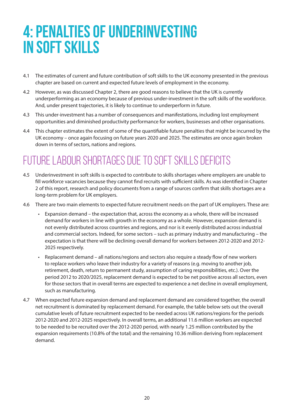## **4: Penalties of underinvesting in soft skills**

- 4.1 The estimates of current and future contribution of soft skills to the UK economy presented in the previous chapter are based on current and expected future levels of employment in the economy.
- 4.2 However, as was discussed Chapter 2, there are good reasons to believe that the UK is currently underperforming as an economy because of previous under-investment in the soft skills of the workforce. And, under present trajectories, it is likely to continue to underperform in future.
- 4.3 This under-investment has a number of consequences and manifestations, including lost employment opportunities and diminished productivity performance for workers, businesses and other organisations.
- 4.4 This chapter estimates the extent of some of the quantifiable future penalties that might be incurred by the UK economy – once again focusing on future years 2020 and 2025. The estimates are once again broken down in terms of sectors, nations and regions.

### Future labour shortages due to soft skills deficits

- 4.5 Underinvestment in soft skills is expected to contribute to skills shortages where employers are unable to fill workforce vacancies because they cannot find recruits with sufficient skills. As was identified in Chapter 2 of this report, research and policy documents from a range of sources confirm that skills shortages are a long-term problem for UK employers.
- 4.6 There are two main elements to expected future recruitment needs on the part of UK employers. These are:
	- Expansion demand the expectation that, across the economy as a whole, there will be increased demand for workers in line with growth in the economy as a whole. However, expansion demand is not evenly distributed across countries and regions, and nor is it evenly distributed across industrial and commercial sectors. Indeed, for some sectors – such as primary industry and manufacturing – the expectation is that there will be declining overall demand for workers between 2012-2020 and 2012- 2025 respectively.
	- Replacement demand all nations/regions and sectors also require a steady flow of new workers to replace workers who leave their industry for a variety of reasons (e.g. moving to another job, retirement, death, return to permanent study, assumption of caring responsibilities, etc.). Over the period 2012 to 2020/2025, replacement demand is expected to be net positive across all sectors, even for those sectors that in overall terms are expected to experience a net decline in overall employment, such as manufacturing.
- 4.7 When expected future expansion demand and replacement demand are considered together, the overall net recruitment is dominated by replacement demand. For example, the table below sets out the overall cumulative levels of future recruitment expected to be needed across UK nations/regions for the periods 2012-2020 and 2012-2025 respectively. In overall terms, an additional 11.6 million workers are expected to be needed to be recruited over the 2012-2020 period, with nearly 1.25 million contributed by the expansion requirements (10.8% of the total) and the remaining 10.36 million deriving from replacement demand.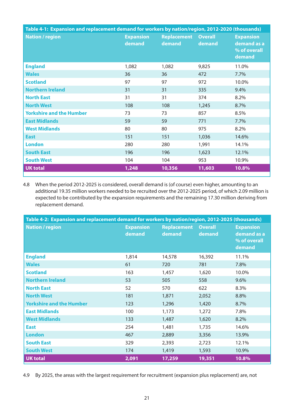| Table 4-1: Expansion and replacement demand for workers by nation/region, 2012-2020 (thousands) |                            |                              |                          |                                                           |
|-------------------------------------------------------------------------------------------------|----------------------------|------------------------------|--------------------------|-----------------------------------------------------------|
| <b>Nation / region</b>                                                                          | <b>Expansion</b><br>demand | <b>Replacement</b><br>demand | <b>Overall</b><br>demand | <b>Expansion</b><br>demand as a<br>% of overall<br>demand |
| <b>England</b>                                                                                  | 1,082                      | 1,082                        | 9,825                    | 11.0%                                                     |
| <b>Wales</b>                                                                                    | 36                         | 36                           | 472                      | 7.7%                                                      |
| <b>Scotland</b>                                                                                 | 97                         | 97                           | 972                      | 10.0%                                                     |
| <b>Northern Ireland</b>                                                                         | 31                         | 31                           | 335                      | 9.4%                                                      |
| <b>North East</b>                                                                               | 31                         | 31                           | 374                      | 8.2%                                                      |
| <b>North West</b>                                                                               | 108                        | 108                          | 1,245                    | 8.7%                                                      |
| <b>Yorkshire and the Humber</b>                                                                 | 73                         | 73                           | 857                      | 8.5%                                                      |
| <b>East Midlands</b>                                                                            | 59                         | 59                           | 771                      | 7.7%                                                      |
| <b>West Midlands</b>                                                                            | 80                         | 80                           | 975                      | 8.2%                                                      |
| <b>East</b>                                                                                     | 151                        | 151                          | 1,036                    | 14.6%                                                     |
| <b>London</b>                                                                                   | 280                        | 280                          | 1,991                    | 14.1%                                                     |
| <b>South East</b>                                                                               | 196                        | 196                          | 1,623                    | 12.1%                                                     |
| <b>South West</b>                                                                               | 104                        | 104                          | 953                      | 10.9%                                                     |
| <b>UK total</b>                                                                                 | 1,248                      | 10,356                       | 11,603                   | 10.8%                                                     |

4.8 When the period 2012-2025 is considered, overall demand is (of course) even higher, amounting to an additional 19.35 million workers needed to be recruited over the 2012-2025 period, of which 2.09 million is expected to be contributed by the expansion requirements and the remaining 17.30 million deriving from replacement demand.

| Table 4-2: Expansion and replacement demand for workers by nation/region, 2012-2025 (thousands) |                            |                              |                          |                                                           |
|-------------------------------------------------------------------------------------------------|----------------------------|------------------------------|--------------------------|-----------------------------------------------------------|
| <b>Nation / region</b>                                                                          | <b>Expansion</b><br>demand | <b>Replacement</b><br>demand | <b>Overall</b><br>demand | <b>Expansion</b><br>demand as a<br>% of overall<br>demand |
| <b>England</b>                                                                                  | 1,814                      | 14,578                       | 16,392                   | 11.1%                                                     |
| <b>Wales</b>                                                                                    | 61                         | 720                          | 781                      | 7.8%                                                      |
| <b>Scotland</b>                                                                                 | 163                        | 1,457                        | 1,620                    | 10.0%                                                     |
| <b>Northern Ireland</b>                                                                         | 53                         | 505                          | 558                      | 9.6%                                                      |
| <b>North East</b>                                                                               | 52                         | 570                          | 622                      | 8.3%                                                      |
| <b>North West</b>                                                                               | 181                        | 1,871                        | 2,052                    | 8.8%                                                      |
| <b>Yorkshire and the Humber</b>                                                                 | 123                        | 1,296                        | 1,420                    | 8.7%                                                      |
| <b>East Midlands</b>                                                                            | 100                        | 1,173                        | 1,272                    | 7.8%                                                      |
| <b>West Midlands</b>                                                                            | 133                        | 1,487                        | 1,620                    | 8.2%                                                      |
| <b>East</b>                                                                                     | 254                        | 1,481                        | 1,735                    | 14.6%                                                     |
| <b>London</b>                                                                                   | 467                        | 2,889                        | 3,356                    | 13.9%                                                     |
| <b>South East</b>                                                                               | 329                        | 2,393                        | 2,723                    | 12.1%                                                     |
| <b>South West</b>                                                                               | 174                        | 1,419                        | 1,593                    | 10.9%                                                     |
| <b>UK total</b>                                                                                 | 2,091                      | 17,259                       | 19,351                   | 10.8%                                                     |

4.9 By 2025, the areas with the largest requirement for recruitment (expansion plus replacement) are, not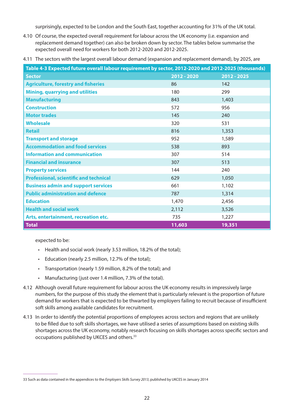surprisingly, expected to be London and the South East, together accounting for 31% of the UK total.

- 4.10 Of course, the expected overall requirement for labour across the UK economy (i.e. expansion and replacement demand together) can also be broken down by sector. The tables below summarise the expected overall need for workers for both 2012-2020 and 2012-2025.
- 4.11 The sectors with the largest overall labour demand (expansion and replacement demand), by 2025, are

| Table 4-3 Expected future overall labour requirement by sector, 2012-2020 and 2012-2025 (thousands) |               |             |
|-----------------------------------------------------------------------------------------------------|---------------|-------------|
| <b>Sector</b>                                                                                       | $2012 - 2020$ | 2012 - 2025 |
| <b>Agriculture, forestry and fisheries</b>                                                          | 86            | 142         |
| <b>Mining, quarrying and utilities</b>                                                              | 180           | 299         |
| <b>Manufacturing</b>                                                                                | 843           | 1,403       |
| <b>Construction</b>                                                                                 | 572           | 956         |
| <b>Motor trades</b>                                                                                 | 145           | 240         |
| <b>Wholesale</b>                                                                                    | 320           | 531         |
| <b>Retail</b>                                                                                       | 816           | 1,353       |
| <b>Transport and storage</b>                                                                        | 952           | 1,589       |
| <b>Accommodation and food services</b>                                                              | 538           | 893         |
| <b>Information and communication</b>                                                                | 307           | 514         |
| <b>Financial and insurance</b>                                                                      | 307           | 513         |
| <b>Property services</b>                                                                            | 144           | 240         |
| <b>Professional, scientific and technical</b>                                                       | 629           | 1,050       |
| <b>Business admin and support services</b>                                                          | 661           | 1,102       |
| <b>Public administration and defence</b>                                                            | 787           | 1,314       |
| <b>Education</b>                                                                                    | 1,470         | 2,456       |
| <b>Health and social work</b>                                                                       | 2,112         | 3,526       |
| Arts, entertainment, recreation etc.                                                                | 735           | 1,227       |
| <b>Total</b>                                                                                        | 11,603        | 19,351      |

expected to be:

- Health and social work (nearly 3.53 million, 18.2% of the total);
- Education (nearly 2.5 million, 12.7% of the total);
- Transportation (nearly 1.59 million, 8.2% of the total); and
- Manufacturing (just over 1.4 million, 7.3% of the total).
- 4.12 Although overall future requirement for labour across the UK economy results in impressively large numbers, for the purpose of this study the element that is particularly relevant is the proportion of future demand for workers that is expected to be thwarted by employers failing to recruit because of insufficient soft skills among available candidates for recruitment.
- 4.13 In order to identify the potential proportions of employees across sectors and regions that are unlikely to be filled due to soft skills shortages, we have utilised a series of assumptions based on existing skills shortages across the UK economy, notably research focusing on skills shortages across specific sectors and occupations published by UKCES and others.33

<sup>33</sup> Such as data contained in the appendices to the *Employers Skills Survey 2013*, published by UKCES in January 2014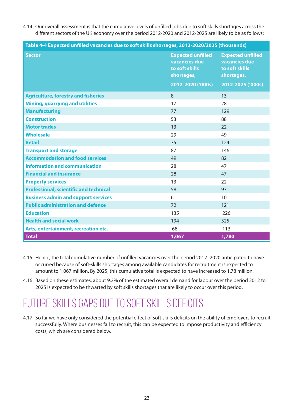4.14 Our overall assessment is that the cumulative levels of unfilled jobs due to soft skills shortages across the different sectors of the UK economy over the period 2012-2020 and 2012-2025 are likely to be as follows:

| Table 4-4 Expected unfilled vacancies due to soft skills shortages, 2012-2020/2025 (thousands) |                                                                           |                                                                           |  |
|------------------------------------------------------------------------------------------------|---------------------------------------------------------------------------|---------------------------------------------------------------------------|--|
| <b>Sector</b>                                                                                  | <b>Expected unfilled</b><br>vacancies due<br>to soft skills<br>shortages, | <b>Expected unfilled</b><br>vacancies due<br>to soft skills<br>shortages, |  |
|                                                                                                | 2012-2020 ('000s)                                                         | 2012-2025 ('000s)                                                         |  |
| <b>Agriculture, forestry and fisheries</b>                                                     | 8                                                                         | 13                                                                        |  |
| <b>Mining, quarrying and utilities</b>                                                         | 17                                                                        | 28                                                                        |  |
| <b>Manufacturing</b>                                                                           | 77                                                                        | 129                                                                       |  |
| <b>Construction</b>                                                                            | 53                                                                        | 88                                                                        |  |
| <b>Motor trades</b>                                                                            | 13                                                                        | 22                                                                        |  |
| <b>Wholesale</b>                                                                               | 29                                                                        | 49                                                                        |  |
| <b>Retail</b>                                                                                  | 75                                                                        | 124                                                                       |  |
| <b>Transport and storage</b>                                                                   | 87                                                                        | 146                                                                       |  |
| <b>Accommodation and food services</b>                                                         | 49                                                                        | 82                                                                        |  |
| <b>Information and communication</b>                                                           | 28                                                                        | 47                                                                        |  |
| <b>Financial and insurance</b>                                                                 | 28                                                                        | 47                                                                        |  |
| <b>Property services</b>                                                                       | 13                                                                        | 22                                                                        |  |
| <b>Professional, scientific and technical</b>                                                  | 58                                                                        | 97                                                                        |  |
| <b>Business admin and support services</b>                                                     | 61                                                                        | 101                                                                       |  |
| <b>Public administration and defence</b>                                                       | 72                                                                        | 121                                                                       |  |
| <b>Education</b>                                                                               | 135                                                                       | 226                                                                       |  |
| <b>Health and social work</b>                                                                  | 194                                                                       | 325                                                                       |  |
| Arts, entertainment, recreation etc.                                                           | 68                                                                        | 113                                                                       |  |
| <b>Total</b>                                                                                   | 1,067                                                                     | 1,780                                                                     |  |

- 4.15 Hence, the total cumulative number of unfilled vacancies over the period 2012- 2020 anticipated to have occurred because of soft-skills shortages among available candidates for recruitment is expected to amount to 1.067 million. By 2025, this cumulative total is expected to have increased to 1.78 million.
- 4.16 Based on these estimates, about 9.2% of the estimated overall demand for labour over the period 2012 to 2025 is expected to be thwarted by soft skills shortages that are likely to occur over this period.

### Future skills gaps due to soft skills deficits

4.17 So far we have only considered the potential effect of soft skills deficits on the ability of employers to recruit successfully. Where businesses fail to recruit, this can be expected to impose productivity and efficiency costs, which are considered below.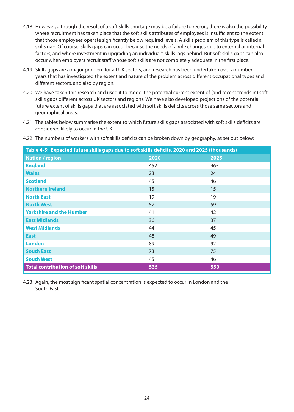- 4.18 However, although the result of a soft skills shortage may be a failure to recruit, there is also the possibility where recruitment has taken place that the soft skills attributes of employees is insufficient to the extent that those employees operate significantly below required levels. A skills problem of this type is called a skills gap. Of course, skills gaps can occur because the needs of a role changes due to external or internal factors, and where investment in upgrading an individual's skills lags behind. But soft skills gaps can also occur when employers recruit staff whose soft skills are not completely adequate in the first place.
- 4.19 Skills gaps are a major problem for all UK sectors, and research has been undertaken over a number of years that has investigated the extent and nature of the problem across different occupational types and different sectors, and also by region.
- 4.20 We have taken this research and used it to model the potential current extent of (and recent trends in) soft skills gaps different across UK sectors and regions. We have also developed projections of the potential future extent of skills gaps that are associated with soft skills deficits across those same sectors and geographical areas.
- 4.21 The tables below summarise the extent to which future skills gaps associated with soft skills deficits are considered likely to occur in the UK.

| Table 4-5: Expected future skills gaps due to soft skills deficits, 2020 and 2025 (thousands) |      |      |  |
|-----------------------------------------------------------------------------------------------|------|------|--|
| <b>Nation / region</b>                                                                        | 2020 | 2025 |  |
| <b>England</b>                                                                                | 452  | 465  |  |
| <b>Wales</b>                                                                                  | 23   | 24   |  |
| <b>Scotland</b>                                                                               | 45   | 46   |  |
| <b>Northern Ireland</b>                                                                       | 15   | 15   |  |
| <b>North East</b>                                                                             | 19   | 19   |  |
| <b>North West</b>                                                                             | 57   | 59   |  |
| <b>Yorkshire and the Humber</b>                                                               | 41   | 42   |  |
| <b>East Midlands</b>                                                                          | 36   | 37   |  |
| <b>West Midlands</b>                                                                          | 44   | 45   |  |
| <b>East</b>                                                                                   | 48   | 49   |  |
| <b>London</b>                                                                                 | 89   | 92   |  |
| <b>South East</b>                                                                             | 73   | 75   |  |
| <b>South West</b>                                                                             | 45   | 46   |  |
| <b>Total contribution of soft skills</b>                                                      | 535  | 550  |  |

4.22 The numbers of workers with soft skills deficits can be broken down by geography, as set out below:

4.23 Again, the most significant spatial concentration is expected to occur in London and the South East.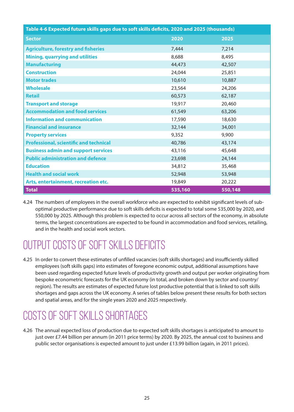| Table 4-6 Expected future skills gaps due to soft skills deficits, 2020 and 2025 (thousands) |         |         |
|----------------------------------------------------------------------------------------------|---------|---------|
| <b>Sector</b>                                                                                | 2020    | 2025    |
| <b>Agriculture, forestry and fisheries</b>                                                   | 7,444   | 7,214   |
| <b>Mining, quarrying and utilities</b>                                                       | 8,688   | 8,495   |
| <b>Manufacturing</b>                                                                         | 44,473  | 42,507  |
| <b>Construction</b>                                                                          | 24,044  | 25,851  |
| <b>Motor trades</b>                                                                          | 10,610  | 10,887  |
| <b>Wholesale</b>                                                                             | 23,564  | 24,206  |
| <b>Retail</b>                                                                                | 60,573  | 62,187  |
| <b>Transport and storage</b>                                                                 | 19,917  | 20,460  |
| <b>Accommodation and food services</b>                                                       | 61,549  | 63,206  |
| <b>Information and communication</b>                                                         | 17,590  | 18,630  |
| <b>Financial and insurance</b>                                                               | 32,144  | 34,001  |
| <b>Property services</b>                                                                     | 9,352   | 9,900   |
| <b>Professional, scientific and technical</b>                                                | 40,786  | 43,174  |
| <b>Business admin and support services</b>                                                   | 43,116  | 45,648  |
| <b>Public administration and defence</b>                                                     | 23,698  | 24,144  |
| <b>Education</b>                                                                             | 34,812  | 35,468  |
| <b>Health and social work</b>                                                                | 52,948  | 53,948  |
| Arts, entertainment, recreation etc.                                                         | 19,849  | 20,222  |
| <b>Total</b>                                                                                 | 535,160 | 550,148 |

4.24 The numbers of employees in the overall workforce who are expected to exhibit significant levels of suboptimal productive performance due to soft skills deficits is expected to total some 535,000 by 2020, and 550,000 by 2025. Although this problem is expected to occur across all sectors of the economy, in absolute terms, the largest concentrations are expected to be found in accommodation and food services, retailing, and in the health and social work sectors.

### Output costs of soft skills deficits

4.25 In order to convert these estimates of unfilled vacancies (soft skills shortages) and insufficiently skilled employees (soft skills gaps) into estimates of foregone economic output, additional assumptions have been used regarding expected future levels of productivity growth and output per worker originating from bespoke econometric forecasts for the UK economy (in total, and broken down by sector and country/ region). The results are estimates of expected future lost productive potential that is linked to soft skills shortages and gaps across the UK economy. A series of tables below present these results for both sectors and spatial areas, and for the single years 2020 and 2025 respectively.

### Costs of soft skills shortages

4.26 The annual expected loss of production due to expected soft skills shortages is anticipated to amount to just over £7.44 billion per annum (in 2011 price terms) by 2020. By 2025, the annual cost to business and public sector organisations is expected amount to just under £13.99 billion (again, in 2011 prices).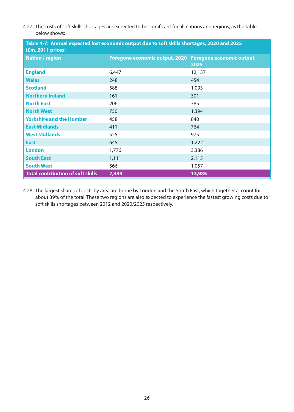4.27 The costs of soft skills shortages are expected to be significant for all nations and regions, as the table below shows:

| Table 4-7: Annual expected lost economic output due to soft skills shortages, 2020 and 2025<br>$(fm, 2011)$ prices) |                                                          |        |
|---------------------------------------------------------------------------------------------------------------------|----------------------------------------------------------|--------|
| <b>Nation / region</b>                                                                                              | Foregone economic output, 2020 Foregone economic output, | 2025   |
| <b>England</b>                                                                                                      | 6,447                                                    | 12,137 |
| <b>Wales</b>                                                                                                        | 248                                                      | 454    |
| <b>Scotland</b>                                                                                                     | 588                                                      | 1,093  |
| <b>Northern Ireland</b>                                                                                             | 161                                                      | 301    |
| <b>North East</b>                                                                                                   | 206                                                      | 385    |
| <b>North West</b>                                                                                                   | 750                                                      | 1,394  |
| <b>Yorkshire and the Humber</b>                                                                                     | 458                                                      | 840    |
| <b>East Midlands</b>                                                                                                | 411                                                      | 764    |
| <b>West Midlands</b>                                                                                                | 525                                                      | 975    |
| <b>East</b>                                                                                                         | 645                                                      | 1,222  |
| <b>London</b>                                                                                                       | 1,776                                                    | 3,386  |
| <b>South East</b>                                                                                                   | 1,111                                                    | 2,115  |
| <b>South West</b>                                                                                                   | 566                                                      | 1,057  |
| <b>Total contribution of soft skills</b>                                                                            | 7,444                                                    | 13,985 |

4.28 The largest shares of costs by area are borne by London and the South East, which together account for about 39% of the total. These two regions are also expected to experience the fastest growing costs due to soft skills shortages between 2012 and 2020/2025 respectively.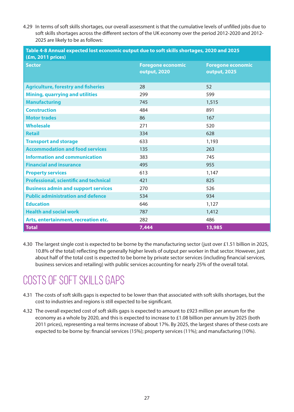4.29 In terms of soft skills shortages, our overall assessment is that the cumulative levels of unfilled jobs due to soft skills shortages across the different sectors of the UK economy over the period 2012-2020 and 2012- 2025 are likely to be as follows:

| Table 4-8 Annual expected lost economic output due to soft skills shortages, 2020 and 2025<br>$(fm, 2011)$ prices) |                                          |                                                 |  |
|--------------------------------------------------------------------------------------------------------------------|------------------------------------------|-------------------------------------------------|--|
| <b>Sector</b>                                                                                                      | <b>Foregone economic</b><br>output, 2020 | <b>Foregone economic</b><br><b>output, 2025</b> |  |
| <b>Agriculture, forestry and fisheries</b>                                                                         | 28                                       | 52                                              |  |
| <b>Mining, quarrying and utilities</b>                                                                             | 299                                      | 599                                             |  |
| <b>Manufacturing</b>                                                                                               | 745                                      | 1,515                                           |  |
| <b>Construction</b>                                                                                                | 484                                      | 891                                             |  |
| <b>Motor trades</b>                                                                                                | 86                                       | 167                                             |  |
| <b>Wholesale</b>                                                                                                   | 271                                      | 520                                             |  |
| <b>Retail</b>                                                                                                      | 334                                      | 628                                             |  |
| <b>Transport and storage</b>                                                                                       | 633                                      | 1,193                                           |  |
| <b>Accommodation and food services</b>                                                                             | 135                                      | 263                                             |  |
| <b>Information and communication</b>                                                                               | 383                                      | 745                                             |  |
| <b>Financial and insurance</b>                                                                                     | 495                                      | 955                                             |  |
| <b>Property services</b>                                                                                           | 613                                      | 1,147                                           |  |
| <b>Professional, scientific and technical</b>                                                                      | 421                                      | 825                                             |  |
| <b>Business admin and support services</b>                                                                         | 270                                      | 526                                             |  |
| <b>Public administration and defence</b>                                                                           | 534                                      | 934                                             |  |
| <b>Education</b>                                                                                                   | 646                                      | 1,127                                           |  |
| <b>Health and social work</b>                                                                                      | 787                                      | 1,412                                           |  |
| Arts, entertainment, recreation etc.                                                                               | 282                                      | 486                                             |  |
| <b>Total</b>                                                                                                       | 7,444                                    | 13,985                                          |  |

4.30 The largest single cost is expected to be borne by the manufacturing sector (just over £1.51 billion in 2025, 10.8% of the total) reflecting the generally higher levels of output per worker in that sector. However, just about half of the total cost is expected to be borne by private sector services (including financial services, business services and retailing) with public services accounting for nearly 25% of the overall total.

### COSTS OF SOFT SKILLS GAPS

- 4.31 The costs of soft skills gaps is expected to be lower than that associated with soft skills shortages, but the cost to industries and regions is still expected to be significant.
- 4.32 The overall expected cost of soft skills gaps is expected to amount to £923 million per annum for the economy as a whole by 2020, and this is expected to increase to £1.08 billion per annum by 2025 (both 2011 prices), representing a real terms increase of about 17%. By 2025, the largest shares of these costs are expected to be borne by: financial services (15%); property services (11%); and manufacturing (10%).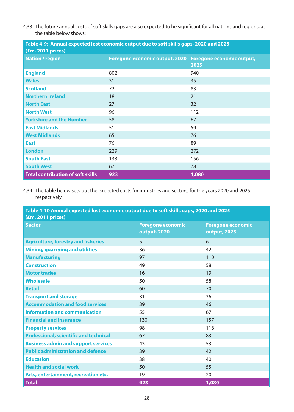4.33 The future annual costs of soft skills gaps are also expected to be significant for all nations and regions, as the table below shows:

| Table 4-9: Annual expected lost economic output due to soft skills gaps, 2020 and 2025<br>(£m, 2011 prices) |                                                          |       |
|-------------------------------------------------------------------------------------------------------------|----------------------------------------------------------|-------|
| <b>Nation / region</b>                                                                                      | Foregone economic output, 2020 Foregone economic output, | 2025  |
| <b>England</b>                                                                                              | 802                                                      | 940   |
| <b>Wales</b>                                                                                                | 31                                                       | 35    |
| <b>Scotland</b>                                                                                             | 72                                                       | 83    |
| <b>Northern Ireland</b>                                                                                     | 18                                                       | 21    |
| <b>North East</b>                                                                                           | 27                                                       | 32    |
| <b>North West</b>                                                                                           | 96                                                       | 112   |
| <b>Yorkshire and the Humber</b>                                                                             | 58                                                       | 67    |
| <b>East Midlands</b>                                                                                        | 51                                                       | 59    |
| <b>West Midlands</b>                                                                                        | 65                                                       | 76    |
| <b>East</b>                                                                                                 | 76                                                       | 89    |
| <b>London</b>                                                                                               | 229                                                      | 272   |
| <b>South East</b>                                                                                           | 133                                                      | 156   |
| <b>South West</b>                                                                                           | 67                                                       | 78    |
| <b>Total contribution of soft skills</b>                                                                    | 923                                                      | 1,080 |

4.34 The table below sets out the expected costs for industries and sectors, for the years 2020 and 2025 respectively.

#### **Table 4-10 Annual expected lost economic output due to soft skills gaps, 2020 and 2025 (£m, 2011 prices)**

| <b>Sector</b>                                 | <b>Foregone economic</b><br><b>output, 2020</b> | <b>Foregone economic</b><br><b>output, 2025</b> |
|-----------------------------------------------|-------------------------------------------------|-------------------------------------------------|
| <b>Agriculture, forestry and fisheries</b>    | 5                                               | 6                                               |
| <b>Mining, quarrying and utilities</b>        | 36                                              | 42                                              |
| <b>Manufacturing</b>                          | 97                                              | 110                                             |
| <b>Construction</b>                           | 49                                              | 58                                              |
| <b>Motor trades</b>                           | 16                                              | 19                                              |
| <b>Wholesale</b>                              | 50                                              | 58                                              |
| <b>Retail</b>                                 | 60                                              | 70                                              |
| <b>Transport and storage</b>                  | 31                                              | 36                                              |
| <b>Accommodation and food services</b>        | 39                                              | 46                                              |
| <b>Information and communication</b>          | 55                                              | 67                                              |
| <b>Financial and insurance</b>                | 130                                             | 157                                             |
| <b>Property services</b>                      | 98                                              | 118                                             |
| <b>Professional, scientific and technical</b> | 67                                              | 83                                              |
| <b>Business admin and support services</b>    | 43                                              | 53                                              |
| <b>Public administration and defence</b>      | 39                                              | 42                                              |
| <b>Education</b>                              | 38                                              | 40                                              |
| <b>Health and social work</b>                 | 50                                              | 55                                              |
| Arts, entertainment, recreation etc.          | 19                                              | 20                                              |
| <b>Total</b>                                  | 923                                             | 1,080                                           |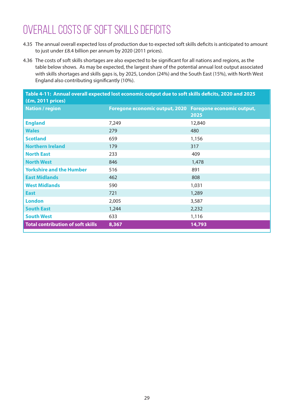### Overall Costs of SOFT Skills Deficits

- 4.35 The annual overall expected loss of production due to expected soft skills deficits is anticipated to amount to just under £8.4 billion per annum by 2020 (2011 prices).
- 4.36 The costs of soft skills shortages are also expected to be significant for all nations and regions, as the table below shows. As may be expected, the largest share of the potential annual lost output associated with skills shortages and skills gaps is, by 2025, London (24%) and the South East (15%), with North West England also contributing significantly (10%).

| Table 4-11: Annual overall expected lost economic output due to soft skills deficits, 2020 and 2025 |                                                          |        |
|-----------------------------------------------------------------------------------------------------|----------------------------------------------------------|--------|
| $(fm, 2011)$ prices)                                                                                |                                                          |        |
| <b>Nation / region</b>                                                                              | Foregone economic output, 2020 Foregone economic output, |        |
|                                                                                                     |                                                          | 2025   |
| <b>England</b>                                                                                      | 7,249                                                    | 12,840 |
| <b>Wales</b>                                                                                        | 279                                                      | 480    |
| <b>Scotland</b>                                                                                     | 659                                                      | 1,156  |
| <b>Northern Ireland</b>                                                                             | 179                                                      | 317    |
| <b>North East</b>                                                                                   | 233                                                      | 409    |
| <b>North West</b>                                                                                   | 846                                                      | 1,478  |
| <b>Yorkshire and the Humber</b>                                                                     | 516                                                      | 891    |
| <b>East Midlands</b>                                                                                | 462                                                      | 808    |
| <b>West Midlands</b>                                                                                | 590                                                      | 1,031  |
| <b>East</b>                                                                                         | 721                                                      | 1,289  |
| <b>London</b>                                                                                       | 2,005                                                    | 3,587  |
| <b>South East</b>                                                                                   | 1,244                                                    | 2,232  |
| <b>South West</b>                                                                                   | 633                                                      | 1,116  |
| <b>Total contribution of soft skills</b>                                                            | 8,367                                                    | 14,793 |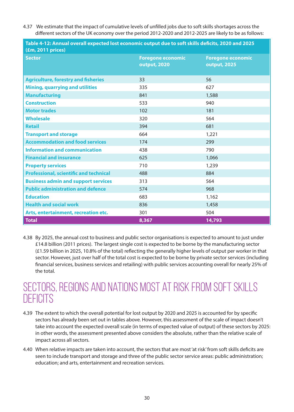4.37 We estimate that the impact of cumulative levels of unfilled jobs due to soft skills shortages across the different sectors of the UK economy over the period 2012-2020 and 2012-2025 are likely to be as follows:

| TAMIC TERRITHINGI OVCIGII CAPCCICA IOJI COMIDIIIII OGIPAI MAC IO JOI I JIIIIJ MCHCIGJ EVED GIIM EVEJ<br>$(fm, 2011)$ prices) |                                          |                                          |
|------------------------------------------------------------------------------------------------------------------------------|------------------------------------------|------------------------------------------|
| <b>Sector</b>                                                                                                                | <b>Foregone economic</b><br>output, 2020 | <b>Foregone economic</b><br>output, 2025 |
| <b>Agriculture, forestry and fisheries</b>                                                                                   | 33                                       | 56                                       |
| <b>Mining, quarrying and utilities</b>                                                                                       | 335                                      | 627                                      |
| <b>Manufacturing</b>                                                                                                         | 841                                      | 1,588                                    |
| <b>Construction</b>                                                                                                          | 533                                      | 940                                      |
| <b>Motor trades</b>                                                                                                          | 102                                      | 181                                      |
| <b>Wholesale</b>                                                                                                             | 320                                      | 564                                      |
| <b>Retail</b>                                                                                                                | 394                                      | 681                                      |
| <b>Transport and storage</b>                                                                                                 | 664                                      | 1,221                                    |
| <b>Accommodation and food services</b>                                                                                       | 174                                      | 299                                      |
| <b>Information and communication</b>                                                                                         | 438                                      | 790                                      |
| <b>Financial and insurance</b>                                                                                               | 625                                      | 1,066                                    |
| <b>Property services</b>                                                                                                     | 710                                      | 1,239                                    |
| <b>Professional, scientific and technical</b>                                                                                | 488                                      | 884                                      |
| <b>Business admin and support services</b>                                                                                   | 313                                      | 564                                      |
| <b>Public administration and defence</b>                                                                                     | 574                                      | 968                                      |
| <b>Education</b>                                                                                                             | 683                                      | 1,162                                    |
| <b>Health and social work</b>                                                                                                | 836                                      | 1,458                                    |
| Arts, entertainment, recreation etc.                                                                                         | 301                                      | 504                                      |
| <b>Total</b>                                                                                                                 | 8,367                                    | 14,793                                   |

**Table 4-12: Annual overall expected lost economic output due to soft skills deficits, 2020 and 2025** 

4.38 By 2025, the annual cost to business and public sector organisations is expected to amount to just under £14.8 billion (2011 prices). The largest single cost is expected to be borne by the manufacturing sector (£1.59 billion in 2025, 10.8% of the total) reflecting the generally higher levels of output per worker in that sector. However, just over half of the total cost is expected to be borne by private sector services (including financial services, business services and retailing) with public services accounting overall for nearly 25% of the total.

### Sectors, regions and nations most at risk from soft skills **DEFICITS**

- 4.39 The extent to which the overall potential for lost output by 2020 and 2025 is accounted for by specific sectors has already been set out in tables above. However, this assessment of the scale of impact doesn't take into account the expected overall scale (in terms of expected value of output) of these sectors by 2025: in other words, the assessment presented above considers the absolute, rather than the relative scale of impact across all sectors.
- 4.40 When relative impacts are taken into account, the sectors that are most 'at risk' from soft skills deficits are seen to include transport and storage and three of the public sector service areas: public administration; education; and arts, entertainment and recreation services.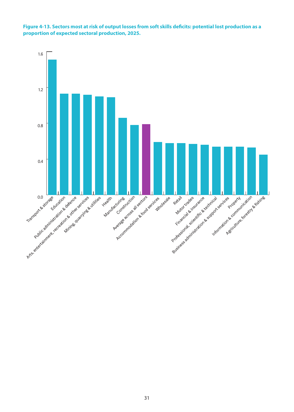

**Figure 4-13. Sectors most at risk of output losses from soft skills deficits: potential lost production as a proportion of expected sectoral production, 2025.**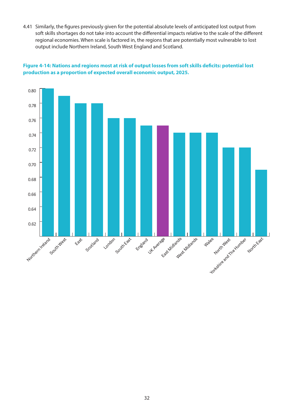4.41 Similarly, the figures previously given for the potential absolute levels of anticipated lost output from soft skills shortages do not take into account the differential impacts relative to the scale of the different regional economies. When scale is factored in, the regions that are potentially most vulnerable to lost output include Northern Ireland, South West England and Scotland.



#### **Figure 4-14: Nations and regions most at risk of output losses from soft skills deficits: potential lost production as a proportion of expected overall economic output, 2025.**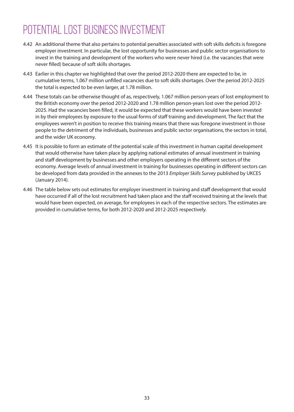### POTENTIAL LOST BUSINESS INVESTMENT

- 4.42 An additional theme that also pertains to potential penalties associated with soft skills deficits is foregone employer investment. In particular, the lost opportunity for businesses and public sector organisations to invest in the training and development of the workers who were never hired (i.e. the vacancies that were never filled) because of soft skills shortages.
- 4.43 Earlier in this chapter we highlighted that over the period 2012-2020 there are expected to be, in cumulative terms, 1.067 million unfilled vacancies due to soft skills shortages. Over the period 2012-2025 the total is expected to be even larger, at 1.78 million.
- 4.44 These totals can be otherwise thought of as, respectively, 1.067 million person-years of lost employment to the British economy over the period 2012-2020 and 1.78 million person-years lost over the period 2012- 2025. Had the vacancies been filled, it would be expected that these workers would have been invested in by their employees by exposure to the usual forms of staff training and development. The fact that the employees weren't in position to receive this training means that there was foregone investment in those people to the detriment of the individuals, businesses and public sector organisations, the sectors in total, and the wider UK economy.
- 4.45 It is possible to form an estimate of the potential scale of this investment in human capital development that would otherwise have taken place by applying national estimates of annual investment in training and staff development by businesses and other employers operating in the different sectors of the economy. Average levels of annual investment in training for businesses operating in different sectors can be developed from data provided in the annexes to the 2013 *Employer Skills Survey* published by UKCES (January 2014).
- 4.46 The table below sets out estimates for employer investment in training and staff development that would have occurred if all of the lost recruitment had taken place and the staff received training at the levels that would have been expected, on average, for employees in each of the respective sectors. The estimates are provided in cumulative terms, for both 2012-2020 and 2012-2025 respectively.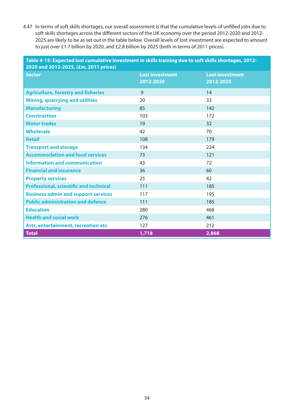4.47 In terms of soft skills shortages, our overall assessment is that the cumulative levels of unfilled jobs due to soft skills shortages across the different sectors of the UK economy over the period 2012-2020 and 2012- 2025 are likely to be as set out in the table below. Overall levels of lost investment are expected to amount to just over £1.7 billion by 2020, and £2.8 billion by 2025 (both in terms of 2011 prices).

**Table 4-15: Expected lost cumulative investment in skills training due to soft skills shortages, 2012- 2020 and 2012-2025, (£m, 2011 prices) Sector Lost investment 2012-2020 Lost investment 2012-2025 Agriculture, forestry and fisheries 9** 14 **Mining, quarrying and utilities** 20 20 33 **Manufacturing 142 85** 142 **Construction** 103 172 **Motor trades** 32 **Wholesale** 42 70 **Retail** 108 179 **Transport and storage 134** 134 224 **Accommodation and food services** 73 121 **Information and communication** 43 43 72 **Financial and insurance** 36 60 **Property services** 42 **Professional, scientific and technical** 111 185 **Business admin and support services** 117 117 195 **Public administration and defence** 111 185 **Education** 468 **Health and social work** 276 **1989** 276 **1999** 276 Arts, entertainment, recreation etc. 127 and 127 and 1212 **Total 1,718 2,868**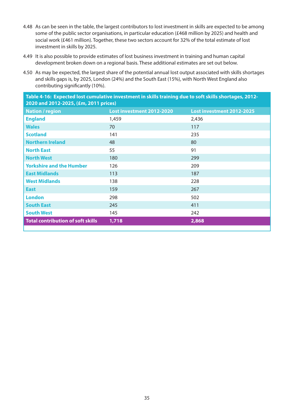- 4.48 As can be seen in the table, the largest contributors to lost investment in skills are expected to be among some of the public sector organisations, in particular education (£468 million by 2025) and health and social work (£461 million). Together, these two sectors account for 32% of the total estimate of lost investment in skills by 2025.
- 4.49 It is also possible to provide estimates of lost business investment in training and human capital development broken down on a regional basis. These additional estimates are set out below.
- 4.50 As may be expected, the largest share of the potential annual lost output associated with skills shortages and skills gaps is, by 2025, London (24%) and the South East (15%), with North West England also contributing significantly (10%).

| Table 4-16: Expected lost cumulative investment in skills training due to soft skills shortages, 2012-<br>2020 and 2012-2025, (£m, 2011 prices) |                           |                           |  |
|-------------------------------------------------------------------------------------------------------------------------------------------------|---------------------------|---------------------------|--|
| <b>Nation / region</b>                                                                                                                          | Lost investment 2012-2020 | Lost investment 2012-2025 |  |
| <b>England</b>                                                                                                                                  | 1,459                     | 2,436                     |  |
| <b>Wales</b>                                                                                                                                    | 70                        | 117                       |  |
| <b>Scotland</b>                                                                                                                                 | 141                       | 235                       |  |
| <b>Northern Ireland</b>                                                                                                                         | 48                        | 80                        |  |
| <b>North East</b>                                                                                                                               | 55                        | 91                        |  |
| <b>North West</b>                                                                                                                               | 180                       | 299                       |  |
| <b>Yorkshire and the Humber</b>                                                                                                                 | 126                       | 209                       |  |
| <b>East Midlands</b>                                                                                                                            | 113                       | 187                       |  |
| <b>West Midlands</b>                                                                                                                            | 138                       | 228                       |  |
| <b>East</b>                                                                                                                                     | 159                       | 267                       |  |
| <b>London</b>                                                                                                                                   | 298                       | 502                       |  |
| <b>South East</b>                                                                                                                               | 245                       | 411                       |  |
| <b>South West</b>                                                                                                                               | 145                       | 242                       |  |
| <b>Total contribution of soft skills</b>                                                                                                        | 1,718                     | 2,868                     |  |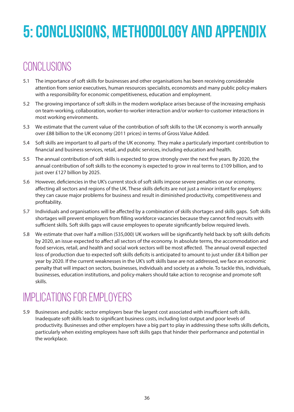## **5: Conclusions, methodology and appendix**

### **CONCLUSIONS**

- 5.1 The importance of soft skills for businesses and other organisations has been receiving considerable attention from senior executives, human resources specialists, economists and many public policy-makers with a responsibility for economic competitiveness, education and employment.
- 5.2 The growing importance of soft skills in the modern workplace arises because of the increasing emphasis on team-working, collaboration, worker-to-worker interaction and/or worker-to-customer interactions in most working environments.
- 5.3 We estimate that the current value of the contribution of soft skills to the UK economy is worth annually over £88 billion to the UK economy (2011 prices) in terms of Gross Value Added.
- 5.4 Soft skills are important to all parts of the UK economy. They make a particularly important contribution to financial and business services, retail, and public services, including education and health.
- 5.5 The annual contribution of soft skills is expected to grow strongly over the next five years. By 2020, the annual contribution of soft skills to the economy is expected to grow in real terms to £109 billion, and to just over £127 billion by 2025.
- 5.6 However, deficiencies in the UK's current stock of soft skills impose severe penalties on our economy, affecting all sectors and regions of the UK. These skills deficits are not just a minor irritant for employers: they can cause major problems for business and result in diminished productivity, competitiveness and profitability.
- 5.7 Individuals and organisations will be affected by a combination of skills shortages and skills gaps. Soft skills shortages will prevent employers from filling workforce vacancies because they cannot find recruits with sufficient skills. Soft skills gaps will cause employees to operate significantly below required levels.
- 5.8 We estimate that over half a million (535,000) UK workers will be significantly held back by soft skills deficits by 2020, an issue expected to affect all sectors of the economy. In absolute terms, the accommodation and food services, retail, and health and social work sectors will be most affected. The annual overall expected loss of production due to expected soft skills deficits is anticipated to amount to just under £8.4 billion per year by 2020. If the current weaknesses in the UK's soft skills base are not addressed, we face an economic penalty that will impact on sectors, businesses, individuals and society as a whole. To tackle this, individuals, businesses, education institutions, and policy-makers should take action to recognise and promote soft skills.

### Implications for Employers

5.9 Businesses and public sector employers bear the largest cost associated with insufficient soft skills. Inadequate soft skills leads to significant business costs, including lost output and poor levels of productivity. Businesses and other employers have a big part to play in addressing these softs skills deficits, particularly when existing employees have soft skills gaps that hinder their performance and potential in the workplace.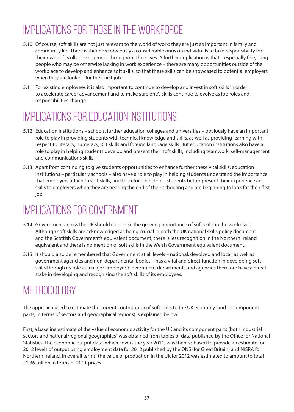### Implications for those in the workforce

- 5.10 Of course, soft skills are not just relevant to the world of work: they are just as important in family and community life. There is therefore obviously a considerable onus on individuals to take responsibility for their own soft skills development throughout their lives. A further implication is that – especially for young people who may be otherwise lacking in work experience – there are many opportunities outside of the workplace to develop and enhance soft skills, so that these skills can be showcased to potential employers when they are looking for their first job.
- 5.11 For existing employees it is also important to continue to develop and invest in soft skills in order to accelerate career advancement and to make sure one's skills continue to evolve as job roles and responsibilities change.

### Implications for Education Institutions

- 5.12 Education institutions schools, further education colleges and universities obviously have an important role to play in providing students with technical knowledge and skills, as well as providing learning with respect to literacy, numeracy, ICT skills and foreign language skills. But education institutions also have a role to play in helping students develop and present their soft skills, including teamwork, self-management and communications skills.
- 5.13 Apart from continuing to give students opportunities to enhance further these vital skills, education institutions – particularly schools – also have a role to play in helping students understand the importance that employers attach to soft skills, and therefore in helping students better present their experience and skills to employers when they are nearing the end of their schooling and are beginning to look for their first job.

### Implications for Government

- 5.14 Government across the UK should recognise the growing importance of soft skills in the workplace. Although soft skills are acknowledged as being crucial in both the UK national skills policy document and the Scottish Government's equivalent document, there is less recognition in the Northern Ireland equivalent and there is no mention of soft skills in the Welsh Government equivalent document.
- 5.15 It should also be remembered that Government at all levels national, devolved and local, as well as government agencies and non-departmental bodies – has a vital and direct function in developing soft skills through its role as a major employer. Government departments and agencies therefore have a direct stake in developing and recognising the soft skills of its employees.

### METHODOLOGY

The approach used to estimate the current contribution of soft skills to the UK economy (and its component parts, in terms of sectors and geographical regions) is explained below.

First, a baseline estimate of the value of economic activity for the UK and its component parts (both industrial sectors and national/regional geographies) was obtained from tables of data published by the Office for National Statistics. The economic output data, which covers the year 2011, was then re-based to provide an estimate for 2012 levels of output using employment data for 2012 published by the ONS (for Great Britain) and NISRA for Northern Ireland. In overall terms, the value of production in the UK for 2012 was estimated to amount to total £1.36 trillion in terms of 2011 prices.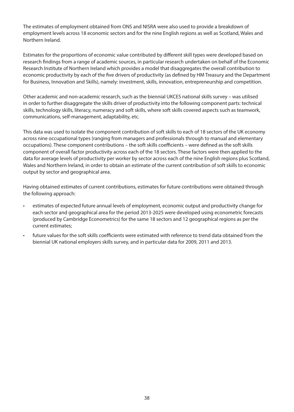The estimates of employment obtained from ONS and NISRA were also used to provide a breakdown of employment levels across 18 economic sectors and for the nine English regions as well as Scotland, Wales and Northern Ireland.

Estimates for the proportions of economic value contributed by different skill types were developed based on research findings from a range of academic sources, in particular research undertaken on behalf of the Economic Research Institute of Northern Ireland which provides a model that disaggregates the overall contribution to economic productivity by each of the five drivers of productivity (as defined by HM Treasury and the Department for Business, Innovation and Skills), namely: investment, skills, innovation, entrepreneurship and competition.

Other academic and non-academic research, such as the biennial UKCES national skills survey – was utilised in order to further disaggregate the skills driver of productivity into the following component parts: technical skills, technology skills, literacy, numeracy and soft skills, where soft skills covered aspects such as teamwork, communications, self-management, adaptability, etc.

This data was used to isolate the component contribution of soft skills to each of 18 sectors of the UK economy across nine occupational types (ranging from managers and professionals through to manual and elementary occupations). These component contributions – the soft skills coefficients – were defined as the soft skills component of overall factor productivity across each of the 18 sectors. These factors were then applied to the data for average levels of productivity per worker by sector across each of the nine English regions plus Scotland, Wales and Northern Ireland, in order to obtain an estimate of the current contribution of soft skills to economic output by sector and geographical area.

Having obtained estimates of current contributions, estimates for future contributions were obtained through the following approach:

- estimates of expected future annual levels of employment, economic output and productivity change for each sector and geographical area for the period 2013-2025 were developed using econometric forecasts (produced by Cambridge Econometrics) for the same 18 sectors and 12 geographical regions as per the current estimates;
- future values for the soft skills coefficients were estimated with reference to trend data obtained from the biennial UK national employers skills survey, and in particular data for 2009, 2011 and 2013.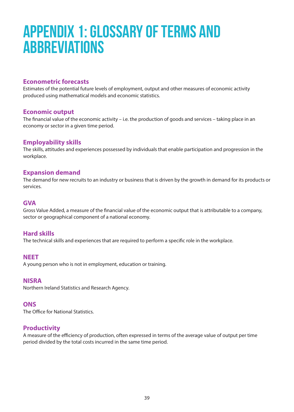## **Appendix 1: Glossary of Terms and Abbreviations**

#### **Econometric forecasts**

Estimates of the potential future levels of employment, output and other measures of economic activity produced using mathematical models and economic statistics.

#### **Economic output**

The financial value of the economic activity – i.e. the production of goods and services – taking place in an economy or sector in a given time period.

#### **Employability skills**

The skills, attitudes and experiences possessed by individuals that enable participation and progression in the workplace.

#### **Expansion demand**

The demand for new recruits to an industry or business that is driven by the growth in demand for its products or services.

#### **GVA**

Gross Value Added, a measure of the financial value of the economic output that is attributable to a company, sector or geographical component of a national economy.

#### **Hard skills**

The technical skills and experiences that are required to perform a specific role in the workplace.

#### **NEET**

A young person who is not in employment, education or training.

#### **NISRA**

Northern Ireland Statistics and Research Agency.

#### **ONS**

The Office for National Statistics.

#### **Productivity**

A measure of the efficiency of production, often expressed in terms of the average value of output per time period divided by the total costs incurred in the same time period.